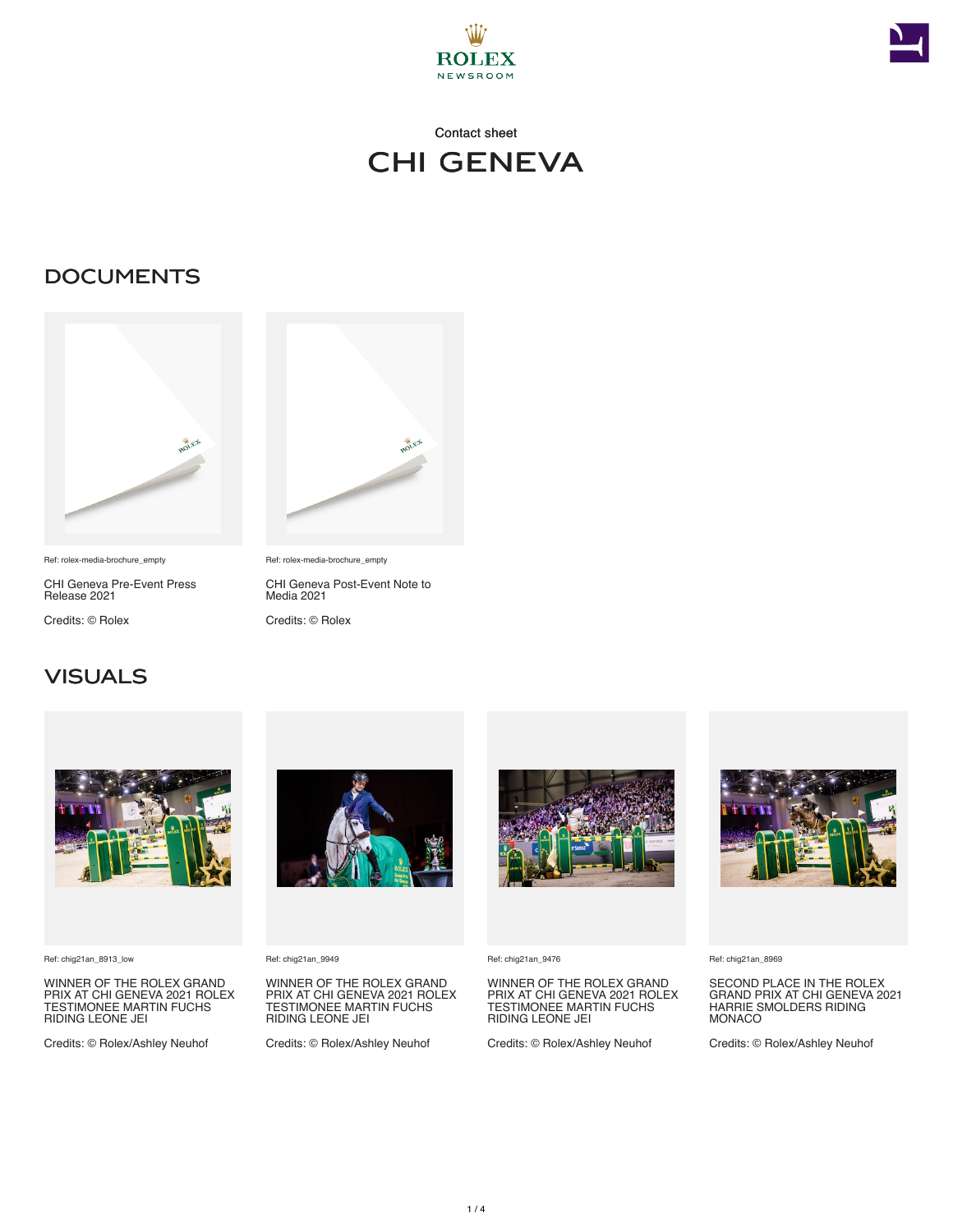



# Contact sheet chi geneva

### **DOCUMENTS**



Ref: rolex-media-brochure\_empty

CHI Geneva Pre-Event Press Release 2021

Credits: © Rolex



Ref: rolex-media-brochure\_empty

Credits: © Rolex

CHI Geneva Post-Event Note to Media 2021

### VISUALS



Ref: chig21an\_8913\_low

WINNER OF THE ROLEX GRAND PRIX AT CHI GENEVA 2021 ROLEX TESTIMONEE MARTIN FUCHS RIDING LEONE JEI

Credits: © Rolex/Ashley Neuhof



Ref: chig21an\_9949

WINNER OF THE ROLEX GRAND PRIX AT CHI GENEVA 2021 ROLEX TESTIMONEE MARTIN FUCHS RIDING LEONE JEI

Credits: © Rolex/Ashley Neuhof



Ref: chig21an\_9476

#### WINNER OF THE ROLEX GRAND PRIX AT CHI GENEVA 2021 ROLEX TESTIMONEE MARTIN FUCHS RIDING LEONE JEI

Credits: © Rolex/Ashley Neuhof



Ref: chig21an\_8969

SECOND PLACE IN THE ROLEX GRAND PRIX AT CHI GENEVA 2021 HARRIE SMOLDERS RIDING **MONACO** 

Credits: © Rolex/Ashley Neuhof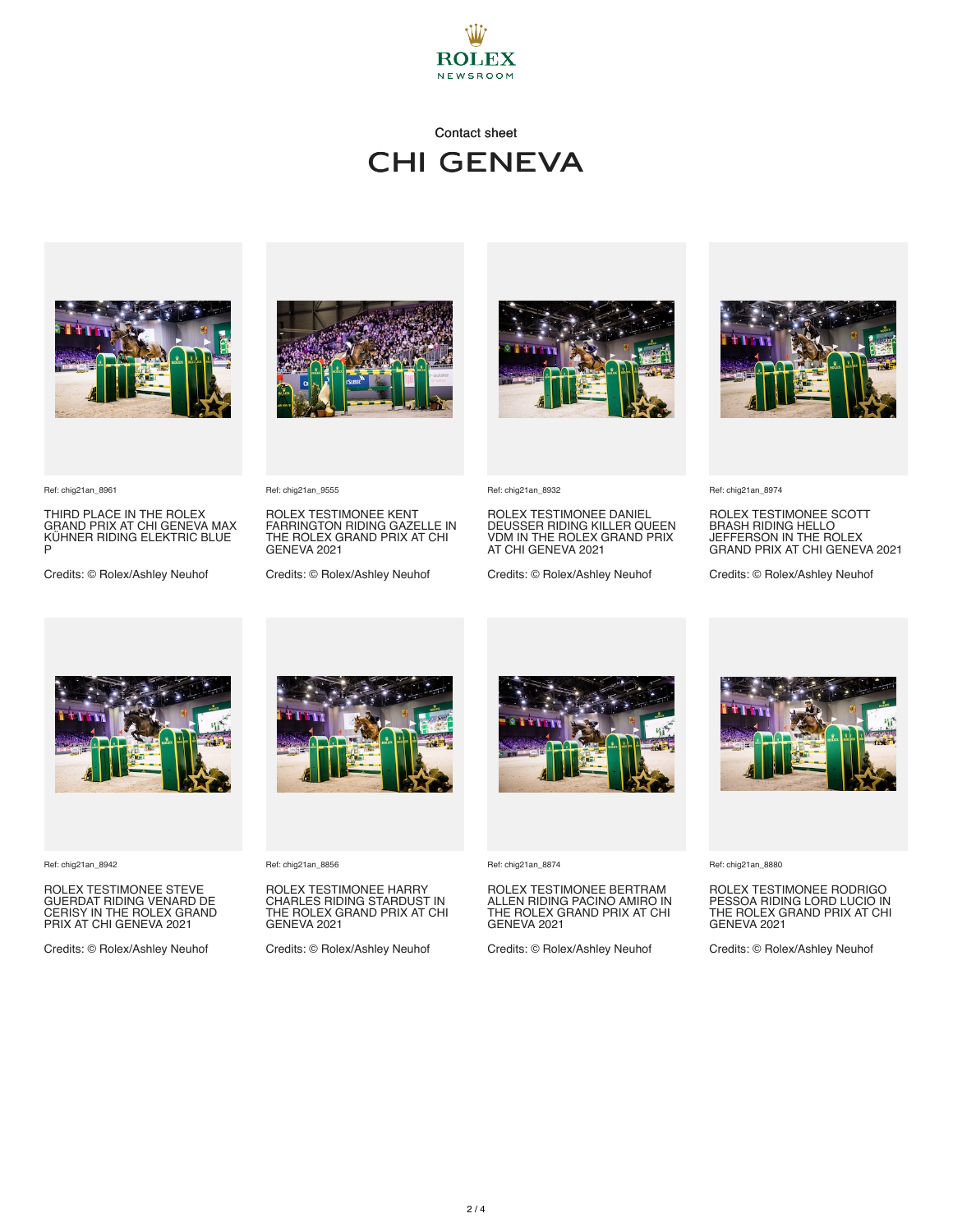

## Contact sheet chi geneva



THIRD PLACE IN THE ROLEX GRAND PRIX AT CHI GENEVA MAX KÜHNER RIDING ELEKTRIC BLUE P

Credits: © Rolex/Ashley Neuhof



ROLEX TESTIMONEE KENT FARRINGTON RIDING GAZELLE IN THE ROLEX GRAND PRIX AT CHI

Credits: © Rolex/Ashley Neuhof





ROLEX TESTIMONEE DANIEL DEUSSER RIDING KILLER QUEEN VDM IN THE ROLEX GRAND PRIX AT CHI GENEVA 2021

Credits: © Rolex/Ashley Neuhof



Ref: chig21an\_8974

ROLEX TESTIMONEE SCOTT BRASH RIDING HELLO JEFFERSON IN THE ROLEX GRAND PRIX AT CHI GENEVA 2021

Credits: © Rolex/Ashley Neuhof



Ref: chig21an\_8942

Ref: chig21an\_8961

ROLEX TESTIMONEE STEVE GUERDAT RIDING VENARD DE CERISY IN THE ROLEX GRAND PRIX AT CHI GENEVA 2021

Credits: © Rolex/Ashley Neuhof



Ref: chig21an\_8856

Ref: chig21an\_9555

GENEVA 2021

ROLEX TESTIMONEE HARRY CHARLES RIDING STARDUST IN THE ROLEX GRAND PRIX AT CHI GENEVA 2021

Credits: © Rolex/Ashley Neuhof



Ref: chig21an\_8874

ROLEX TESTIMONEE BERTRAM ALLEN RIDING PACINO AMIRO IN THE ROLEX GRAND PRIX AT CHI GENEVA 2021

Credits: © Rolex/Ashley Neuhof



Ref: chig21an\_8880

ROLEX TESTIMONEE RODRIGO PESSOA RIDING LORD LUCIO IN THE ROLEX GRAND PRIX AT CHI GENEVA 2021

Credits: © Rolex/Ashley Neuhof

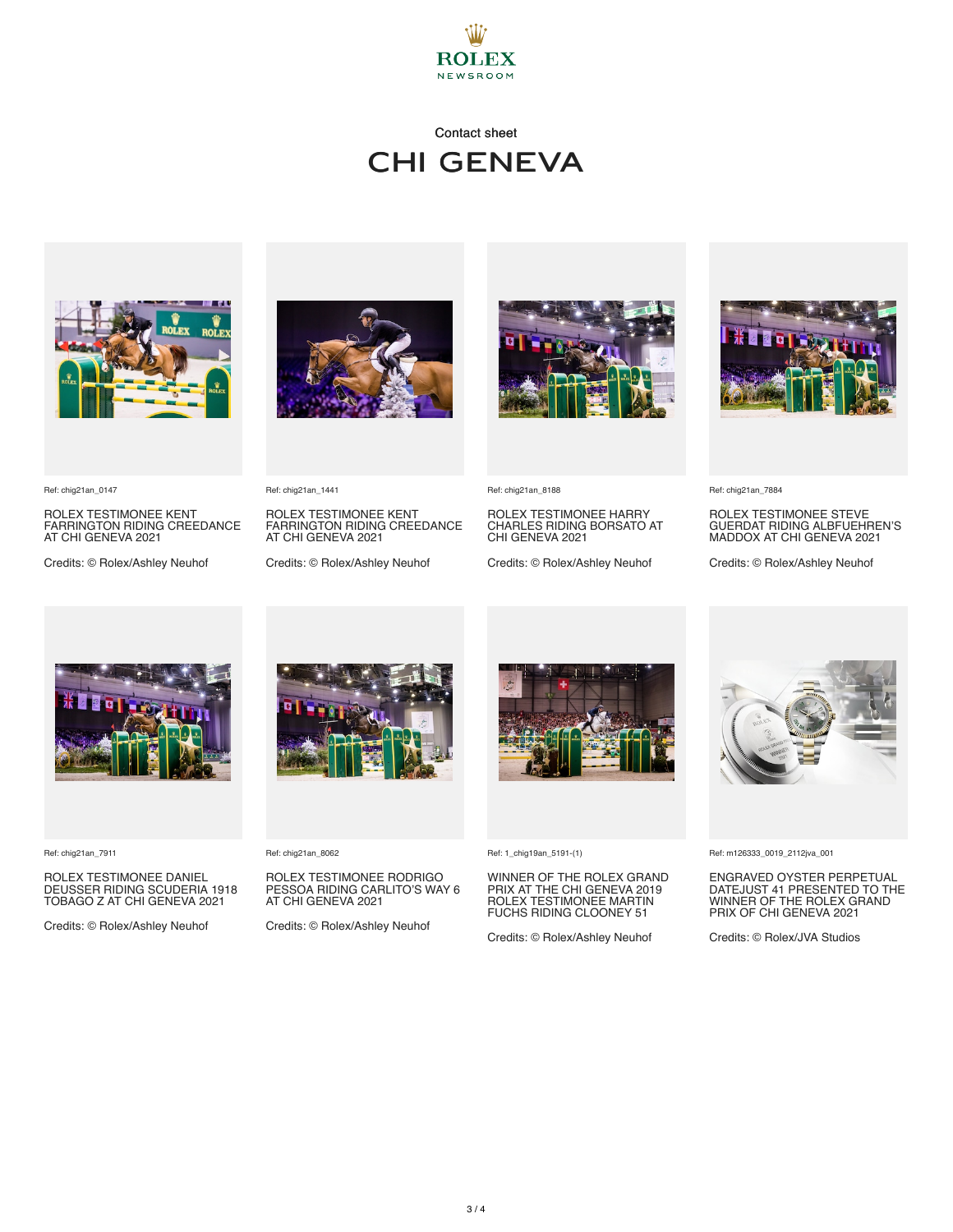

# Contact sheet chi geneva



Ref: chig21an\_0147

ROLEX TESTIMONEE KENT FARRINGTON RIDING CREEDANCE AT CHI GENEVA 2021

Credits: © Rolex/Ashley Neuhof



ROLEX TESTIMONEE KENT FARRINGTON RIDING CREEDANCE

Credits: © Rolex/Ashley Neuhof



Ref: chig21an\_8188

ROLEX TESTIMONEE HARRY CHARLES RIDING BORSATO AT CHI GENEVA 2021

Credits: © Rolex/Ashley Neuhof



Ref: chig21an\_7884

ROLEX TESTIMONEE STEVE GUERDAT RIDING ALBFUEHREN'S MADDOX AT CHI GENEVA 2021

Credits: © Rolex/Ashley Neuhof



Ref: chig21an\_7911

ROLEX TESTIMONEE DANIEL DEUSSER RIDING SCUDERIA 1918 TOBAGO Z AT CHI GENEVA 2021

Credits: © Rolex/Ashley Neuhof



Ref: chig21an\_8062

Ref: chig21an\_1441

AT CHI GENEVA 2021

ROLEX TESTIMONEE RODRIGO PESSOA RIDING CARLITO'S WAY 6 AT CHI GENEVA 2021

Credits: © Rolex/Ashley Neuhof



Ref: 1\_chig19an\_5191-(1)

WINNER OF THE ROLEX GRAND PRIX AT THE CHI GENEVA 2019 ROLEX TESTIMONEE MARTIN FUCHS RIDING CLOONEY 51

Credits: © Rolex/Ashley Neuhof



Ref: m126333\_0019\_2112jva\_001

ENGRAVED OYSTER PERPETUAL DATEJUST 41 PRESENTED TO THE WINNER OF THE ROLEX GRAND PRIX OF CHI GENEVA 2021

Credits: © Rolex/JVA Studios